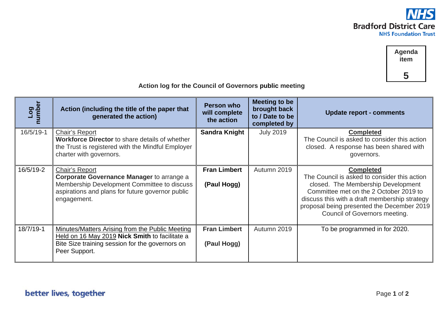



| Log<br>number | Action (including the title of the paper that<br>generated the action)                                                                                                               | <b>Person who</b><br>will complete<br>the action | Meeting to be<br>brought back<br>to / Date to be<br>completed by | <b>Update report - comments</b>                                                                                                                                                                                                                                                  |
|---------------|--------------------------------------------------------------------------------------------------------------------------------------------------------------------------------------|--------------------------------------------------|------------------------------------------------------------------|----------------------------------------------------------------------------------------------------------------------------------------------------------------------------------------------------------------------------------------------------------------------------------|
| 16/5/19-1     | Chair's Report<br><b>Workforce Director</b> to share details of whether<br>the Trust is registered with the Mindful Employer<br>charter with governors.                              | <b>Sandra Knight</b>                             | <b>July 2019</b>                                                 | <b>Completed</b><br>The Council is asked to consider this action<br>closed. A response has been shared with<br>governors.                                                                                                                                                        |
| 16/5/19-2     | Chair's Report<br><b>Corporate Governance Manager to arrange a</b><br>Membership Development Committee to discuss<br>aspirations and plans for future governor public<br>engagement. | <b>Fran Limbert</b><br>(Paul Hogg)               | Autumn 2019                                                      | <b>Completed</b><br>The Council is asked to consider this action<br>closed. The Membership Development<br>Committee met on the 2 October 2019 to<br>discuss this with a draft membership strategy<br>proposal being presented the December 2019<br>Council of Governors meeting. |
| 18/7/19-1     | Minutes/Matters Arising from the Public Meeting<br>Held on 16 May 2019 Nick Smith to facilitate a<br>Bite Size training session for the governors on<br>Peer Support.                | <b>Fran Limbert</b><br>(Paul Hogg)               | Autumn 2019                                                      | To be programmed in for 2020.                                                                                                                                                                                                                                                    |

## **Action log for the Council of Governors public meeting**